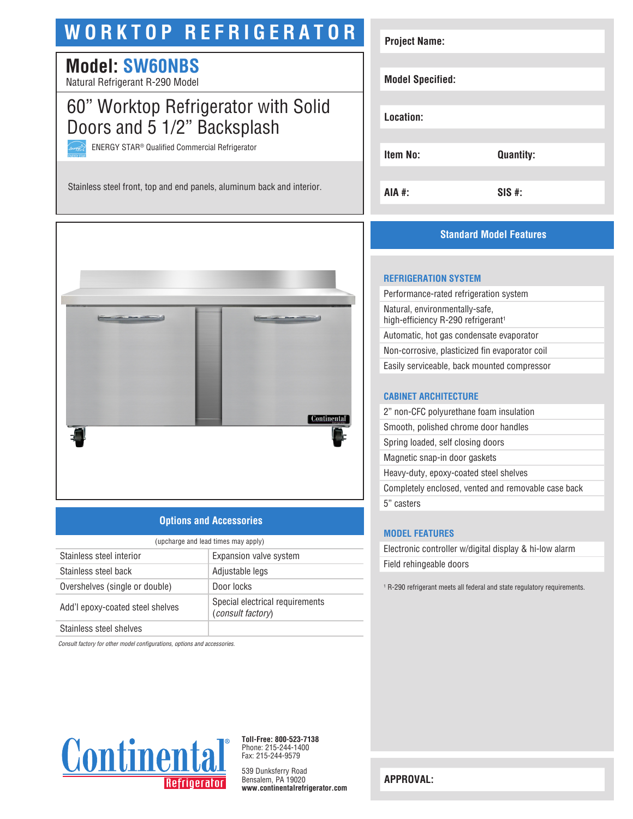# **WORKTOP REFRIGERATOR**

# **Model: SW60NBS**

Natural Refrigerant R-290 Model

# 60" Worktop Refrigerator with Solid Doors and 5 1/2" Backsplash

ENERGY STAR® Qualified Commercial Refrigerator

Stainless steel front, top and end panels, aluminum back and interior.



### **Options and Accessories**

| (upcharge and lead times may apply) |                                                             |  |
|-------------------------------------|-------------------------------------------------------------|--|
| Stainless steel interior            | Expansion valve system                                      |  |
| Stainless steel back                | Adjustable legs                                             |  |
| Overshelves (single or double)      | Door locks                                                  |  |
| Add'l epoxy-coated steel shelves    | Special electrical requirements<br><i>(consult factory)</i> |  |
| Stainless steel shelves             |                                                             |  |

*Consult factory for other model configurations, options and accessories.*



**Toll-Free: 800-523-7138** Phone: 215-244-1400 Fax: 215-244-9579

539 Dunksferry Road Bensalem, PA 19020 **www.continentalrefrigerator.com** 

| <b>Project Name:</b>    |                  |
|-------------------------|------------------|
|                         |                  |
| <b>Model Specified:</b> |                  |
|                         |                  |
| Location:               |                  |
|                         |                  |
| <b>Item No:</b>         | <b>Quantity:</b> |
|                         |                  |
| AIA #:                  | $SIS$ #:         |

### **Standard Model Features**

#### **REFRIGERATION SYSTEM**

| Performance-rated refrigeration system                                           |
|----------------------------------------------------------------------------------|
| Natural, environmentally-safe,<br>high-efficiency R-290 refrigerant <sup>1</sup> |
| Automatic, hot gas condensate evaporator                                         |
| Non-corrosive, plasticized fin evaporator coil                                   |
| Easily serviceable, back mounted compressor                                      |
|                                                                                  |

#### **CABINET ARCHITECTURE**

| 2" non-CFC polyurethane foam insulation             |
|-----------------------------------------------------|
| Smooth, polished chrome door handles                |
| Spring loaded, self closing doors                   |
| Magnetic snap-in door gaskets                       |
| Heavy-duty, epoxy-coated steel shelves              |
| Completely enclosed, vented and removable case back |
| 5" casters                                          |
|                                                     |

#### **MODEL FEATURES**

Electronic controller w/digital display & hi-low alarm Field rehingeable doors

1 R-290 refrigerant meets all federal and state regulatory requirements.

**APPROVAL:**